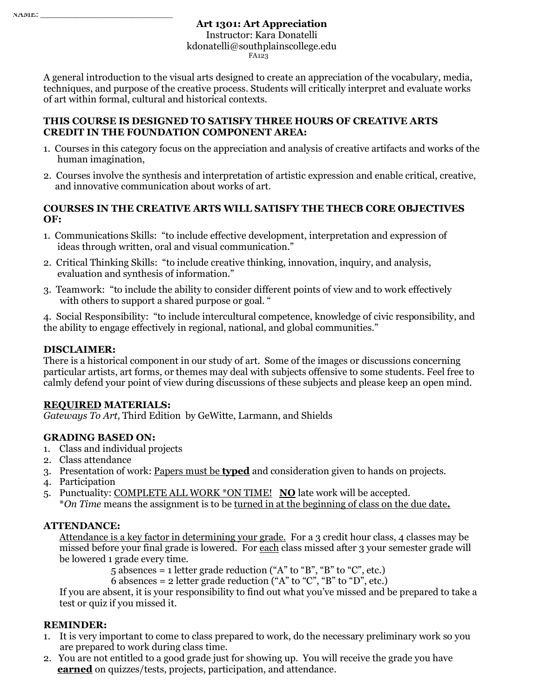# **Art 1301: Art Appreciation**  Instructor: Kara Donatelli kdonatelli@southplainscollege.edu FA123

A general introduction to the visual arts designed to create an appreciation of the vocabulary, media, techniques, and purpose of the creative process. Students will critically interpret and evaluate works of art within formal, cultural and historical contexts.

#### **THIS COURSE IS DESIGNED TO SATISFY THREE HOURS OF CREATIVE ARTS CREDIT IN THE FOUNDATION COMPONENT AREA:**

- 1. Courses in this category focus on the appreciation and analysis of creative artifacts and works of the human imagination,
- 2. Courses involve the synthesis and interpretation of artistic expression and enable critical, creative, and innovative communication about works of art.

### **COURSES IN THE CREATIVE ARTS WILL SATISFY THE THECB CORE OBJECTIVES OF:**

- 1. Communications Skills: "to include effective development, interpretation and expression of ideas through written, oral and visual communication."
- 2. Critical Thinking Skills: "to include creative thinking, innovation, inquiry, and analysis, evaluation and synthesis of information."
- 3. Teamwork:"to include the ability to consider different points of view and to work effectively with others to support a shared purpose or goal. "

4. Social Responsibility:"to include intercultural competence, knowledge of civic responsibility, and the ability to engage effectively in regional, national, and global communities."

## **DISCLAIMER:**

There is a historical component in our study of art. Some of the images or discussions concerning particular artists, art forms, or themes may deal with subjects offensive to some students. Feel free to calmly defend your point of view during discussions of these subjects and please keep an open mind.

## **REQUIRED MATERIALS:**

*Gateways To Art,* Third Edition by GeWitte, Larmann, and Shields

## **GRADING BASED ON:**

- 1. Class and individual projects
- 2. Class attendance
- 3. Presentation of work: Papers must be **typed** and consideration given to hands on projects.
- 4. Participation
- 5. Punctuality: COMPLETE ALL WORK \*ON TIME! **NO** late work will be accepted.

\**On Time* means the assignment is to be turned in at the beginning of class on the due date**.**

## **ATTENDANCE:**

Attendance is a key factor in determining your grade. For a 3 credit hour class, 4 classes may be missed before your final grade is lowered. For each class missed after 3 your semester grade will be lowered 1 grade every time.

 $5$  absences = 1 letter grade reduction ("A" to "B", "B" to "C", etc.)

6 absences = 2 letter grade reduction ("A" to "C", "B" to "D", etc.)

If you are absent, it is your responsibility to find out what you've missed and be prepared to take a test or quiz if you missed it.

## **REMINDER:**

- 1. It is very important to come to class prepared to work, do the necessary preliminary work so you are prepared to work during class time.
- 2. You are not entitled to a good grade just for showing up. You will receive the grade you have **earned** on quizzes/tests, projects, participation, and attendance.